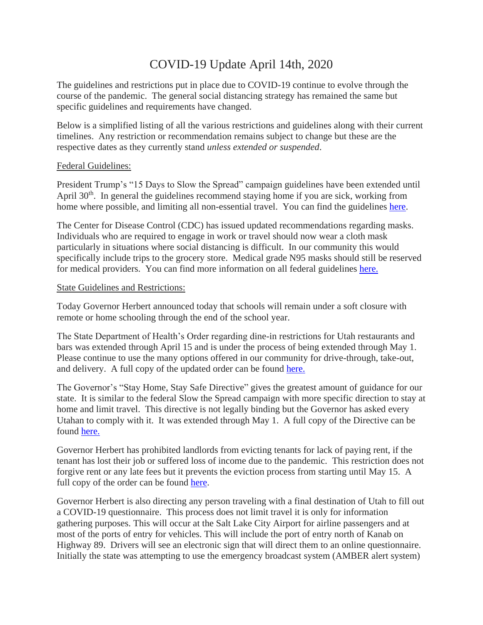# COVID-19 Update April 14th, 2020

The guidelines and restrictions put in place due to COVID-19 continue to evolve through the course of the pandemic. The general social distancing strategy has remained the same but specific guidelines and requirements have changed.

Below is a simplified listing of all the various restrictions and guidelines along with their current timelines. Any restriction or recommendation remains subject to change but these are the respective dates as they currently stand *unless extended or suspended*.

### Federal Guidelines:

President Trump's "15 Days to Slow the Spread" campaign guidelines have been extended until April 30<sup>th</sup>. In general the guidelines recommend staying home if you are sick, working from home where possible, and limiting all non-essential travel. You can find the guidelines [here.](https://www.whitehouse.gov/wp-content/uploads/2020/03/03.16.20_coronavirus-guidance_8.5x11_315PM.pdf)

The Center for Disease Control (CDC) has issued updated recommendations regarding masks. Individuals who are required to engage in work or travel should now wear a cloth mask particularly in situations where social distancing is difficult. In our community this would specifically include trips to the grocery store. Medical grade N95 masks should still be reserved for medical providers. You can find more information on all federal guidelines [here.](https://www.coronavirus.gov/)

#### State Guidelines and Restrictions:

Today Governor Herbert announced today that schools will remain under a soft closure with remote or home schooling through the end of the school year.

The State Department of Health's Order regarding dine-in restrictions for Utah restaurants and bars was extended through April 15 and is under the process of being extended through May 1. Please continue to use the many options offered in our community for drive-through, take-out, and delivery. A full copy of the updated order can be found [here.](https://kane.utah.gov/gov/dept/attorney/utah-department-of-health-order-april-1/)

The Governor's "Stay Home, Stay Safe Directive" gives the greatest amount of guidance for our state. It is similar to the federal Slow the Spread campaign with more specific direction to stay at home and limit travel. This directive is not legally binding but the Governor has asked every Utahan to comply with it. It was extended through May 1. A full copy of the Directive can be found [here.](https://kane.utah.gov/gov/dept/attorney/governor-herbert-stay-home-stay-safe-directive/)

Governor Herbert has prohibited landlords from evicting tenants for lack of paying rent, if the tenant has lost their job or suffered loss of income due to the pandemic. This restriction does not forgive rent or any late fees but it prevents the eviction process from starting until May 15. A full copy of the order can be found [here.](https://kane.utah.gov/gov/dept/attorney/eviction-moratorium/)

Governor Herbert is also directing any person traveling with a final destination of Utah to fill out a COVID-19 questionnaire. This process does not limit travel it is only for information gathering purposes. This will occur at the Salt Lake City Airport for airline passengers and at most of the ports of entry for vehicles. This will include the port of entry north of Kanab on Highway 89. Drivers will see an electronic sign that will direct them to an online questionnaire. Initially the state was attempting to use the emergency broadcast system (AMBER alert system)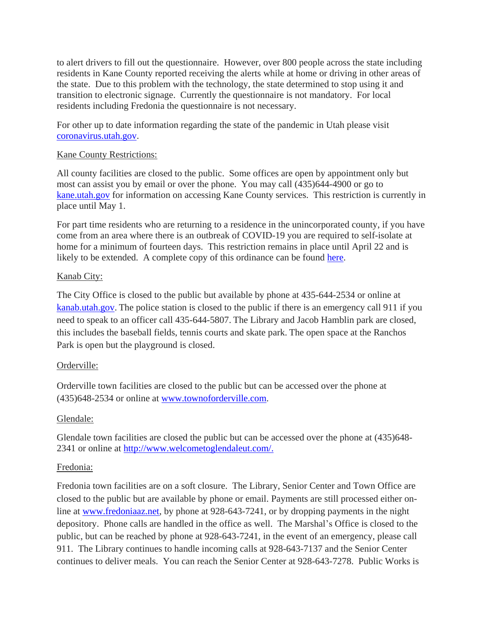to alert drivers to fill out the questionnaire. However, over 800 people across the state including residents in Kane County reported receiving the alerts while at home or driving in other areas of the state. Due to this problem with the technology, the state determined to stop using it and transition to electronic signage. Currently the questionnaire is not mandatory. For local residents including Fredonia the questionnaire is not necessary.

For other up to date information regarding the state of the pandemic in Utah please visit [coronavirus.utah.gov.](https://coronavirus.utah.gov/)

## Kane County Restrictions:

All county facilities are closed to the public. Some offices are open by appointment only but most can assist you by email or over the phone. You may call (435)644-4900 or go to [kane.utah.gov](https://kane.utah.gov/) for information on accessing Kane County services. This restriction is currently in place until May 1.

For part time residents who are returning to a residence in the unincorporated county, if you have come from an area where there is an outbreak of COVID-19 you are required to self-isolate at home for a minimum of fourteen days. This restriction remains in place until April 22 and is likely to be extended. A complete copy of this ordinance can be found [here.](https://kane.utah.gov/gov/dept/attorney/ordinance-no-o-2020-10/)

### Kanab City:

The City Office is closed to the public but available by phone at 435-644-2534 or online at [kanab.utah.gov.](http://kanab.utah.gov/) The police station is closed to the public if there is an emergency call 911 if you need to speak to an officer call 435-644-5807. The Library and Jacob Hamblin park are closed, this includes the baseball fields, tennis courts and skate park. The open space at the Ranchos Park is open but the playground is closed.

## Orderville:

Orderville town facilities are closed to the public but can be accessed over the phone at (435)648-2534 or online at [www.townoforderville.com.](http://www.townoforderville.com/)

## Glendale:

Glendale town facilities are closed the public but can be accessed over the phone at (435)648- 2341 or online at [http://www.welcometoglendaleut.com/.](http://www.welcometoglendaleut.com/)

## Fredonia:

Fredonia town facilities are on a soft closure. The Library, Senior Center and Town Office are closed to the public but are available by phone or email. Payments are still processed either online at [www.fredoniaaz.net,](http://www.fredoniaaz.net/) by phone at 928-643-7241, or by dropping payments in the night depository. Phone calls are handled in the office as well. The Marshal's Office is closed to the public, but can be reached by phone at 928-643-7241, in the event of an emergency, please call 911. The Library continues to handle incoming calls at 928-643-7137 and the Senior Center continues to deliver meals. You can reach the Senior Center at 928-643-7278. Public Works is